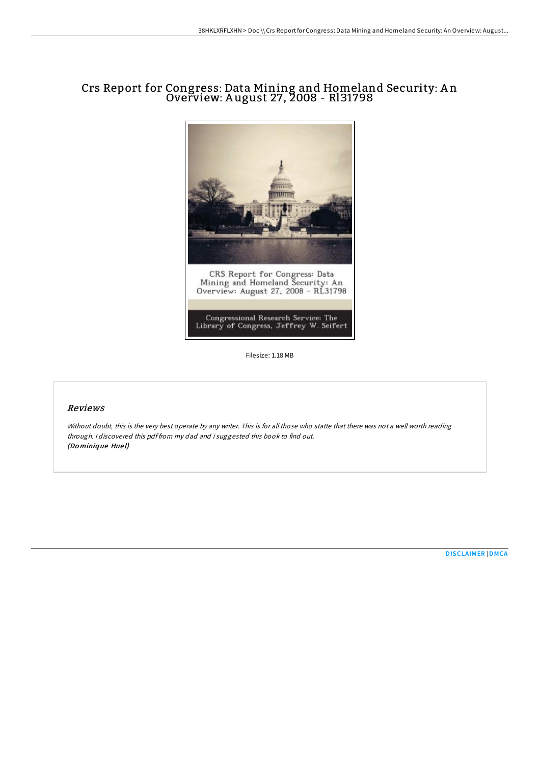# Crs Report for Congress: Data Mining and Homeland Security: A n Overview: A ugust 27, 2008 - Rl31798



Filesize: 1.18 MB

#### Reviews

Without doubt, this is the very best operate by any writer. This is for all those who statte that there was not <sup>a</sup> well worth reading through. <sup>I</sup> discovered this pdf from my dad and i suggested this book to find out. (Do miniq ue Hue l)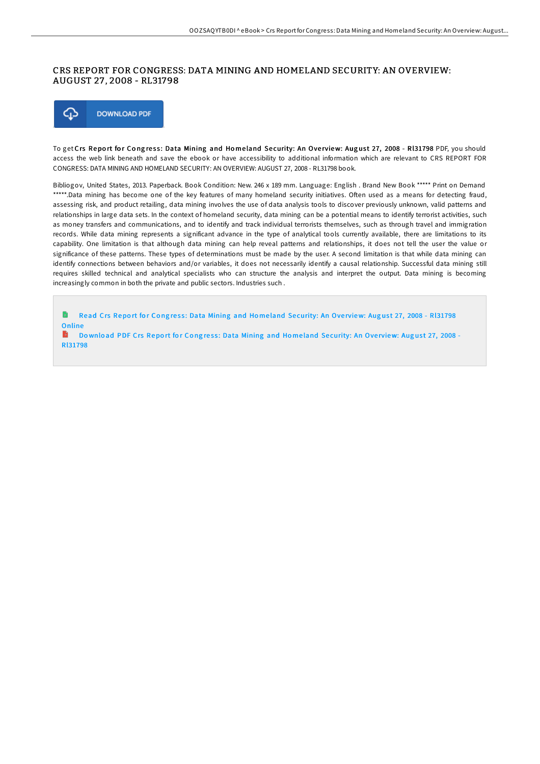### CRS REPORT FOR CONGRESS: DATA MINING AND HOMELAND SECURITY: AN OVERVIEW: AUGUST 27 , 2008 - RL31798



To get Crs Report for Congress: Data Mining and Homeland Security: An Overview: August 27, 2008 - Rl31798 PDF, you should access the web link beneath and save the ebook or have accessibility to additional information which are relevant to CRS REPORT FOR CONGRESS: DATA MINING AND HOMELAND SECURITY: AN OVERVIEW: AUGUST 27, 2008 - RL31798 book.

Bibliogov, United States, 2013. Paperback. Book Condition: New. 246 x 189 mm. Language: English . Brand New Book \*\*\*\*\* Print on Demand \*\*\*\*\*.Data mining has become one of the key features of many homeland security initiatives. Often used as a means for detecting fraud, assessing risk, and product retailing, data mining involves the use of data analysis tools to discover previously unknown, valid patterns and relationships in large data sets. In the context of homeland security, data mining can be a potential means to identify terrorist activities, such as money transfers and communications, and to identify and track individual terrorists themselves, such as through travel and immigration records. While data mining represents a significant advance in the type of analytical tools currently available, there are limitations to its capability. One limitation is that although data mining can help reveal patterns and relationships, it does not tell the user the value or significance of these patterns. These types of determinations must be made by the user. A second limitation is that while data mining can identify connections between behaviors and/or variables, it does not necessarily identify a causal relationship. Successful data mining still requires skilled technical and analytical specialists who can structure the analysis and interpret the output. Data mining is becoming increasingly common in both the private and public sectors. Industries such .

h Read Crs Report for Congress: Data Mining and Homeland Security: An Overview: August 27, 2008 - RI31798 **Online** B

Download PDF Crs Report for Congress: Data Mining and Homeland Security: An Overview: August 27, 2008 -[Rl31798](http://almighty24.tech/crs-report-for-congress-data-mining-and-homeland.html)